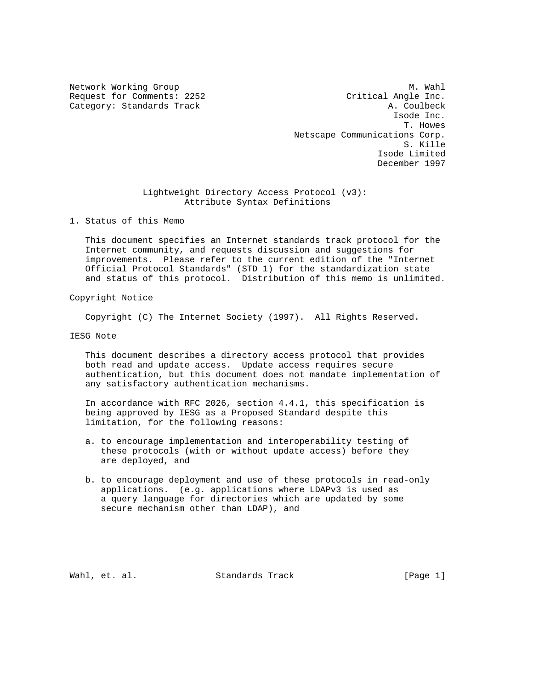Network Working Group Methods and Muslim Muslim Muslim Muslim Muslim Muslim Muslim Muslim Muslim Muslim Muslim Mu Request for Comments: 2252 Critical Angle Inc. Category: Standards Track A. Coulbeck Isode Inc. T. Howes Netscape Communications Corp. S. Kille Isode Limited December 1997

> Lightweight Directory Access Protocol (v3): Attribute Syntax Definitions

1. Status of this Memo

 This document specifies an Internet standards track protocol for the Internet community, and requests discussion and suggestions for improvements. Please refer to the current edition of the "Internet Official Protocol Standards" (STD 1) for the standardization state and status of this protocol. Distribution of this memo is unlimited.

Copyright Notice

Copyright (C) The Internet Society (1997). All Rights Reserved.

IESG Note

 This document describes a directory access protocol that provides both read and update access. Update access requires secure authentication, but this document does not mandate implementation of any satisfactory authentication mechanisms.

 In accordance with RFC 2026, section 4.4.1, this specification is being approved by IESG as a Proposed Standard despite this limitation, for the following reasons:

- a. to encourage implementation and interoperability testing of these protocols (with or without update access) before they are deployed, and
- b. to encourage deployment and use of these protocols in read-only applications. (e.g. applications where LDAPv3 is used as a query language for directories which are updated by some secure mechanism other than LDAP), and

Wahl, et. al. Standards Track [Page 1]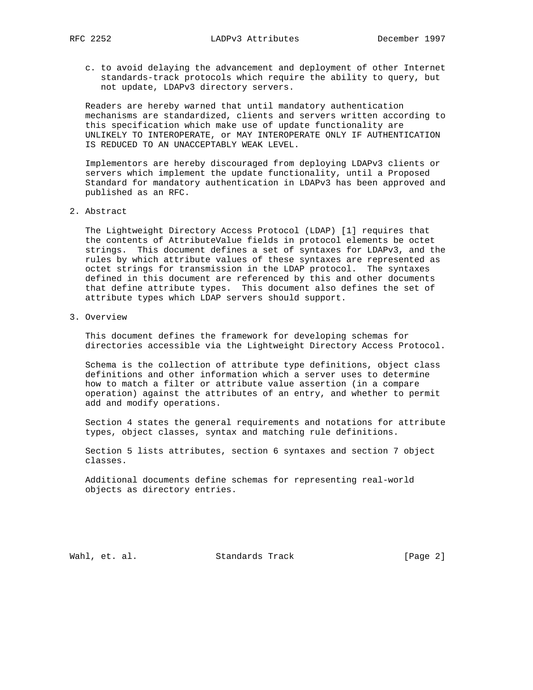c. to avoid delaying the advancement and deployment of other Internet standards-track protocols which require the ability to query, but not update, LDAPv3 directory servers.

 Readers are hereby warned that until mandatory authentication mechanisms are standardized, clients and servers written according to this specification which make use of update functionality are UNLIKELY TO INTEROPERATE, or MAY INTEROPERATE ONLY IF AUTHENTICATION IS REDUCED TO AN UNACCEPTABLY WEAK LEVEL.

 Implementors are hereby discouraged from deploying LDAPv3 clients or servers which implement the update functionality, until a Proposed Standard for mandatory authentication in LDAPv3 has been approved and published as an RFC.

2. Abstract

 The Lightweight Directory Access Protocol (LDAP) [1] requires that the contents of AttributeValue fields in protocol elements be octet strings. This document defines a set of syntaxes for LDAPv3, and the rules by which attribute values of these syntaxes are represented as octet strings for transmission in the LDAP protocol. The syntaxes defined in this document are referenced by this and other documents that define attribute types. This document also defines the set of attribute types which LDAP servers should support.

3. Overview

 This document defines the framework for developing schemas for directories accessible via the Lightweight Directory Access Protocol.

 Schema is the collection of attribute type definitions, object class definitions and other information which a server uses to determine how to match a filter or attribute value assertion (in a compare operation) against the attributes of an entry, and whether to permit add and modify operations.

 Section 4 states the general requirements and notations for attribute types, object classes, syntax and matching rule definitions.

 Section 5 lists attributes, section 6 syntaxes and section 7 object classes.

 Additional documents define schemas for representing real-world objects as directory entries.

Wahl, et. al. Standards Track [Page 2]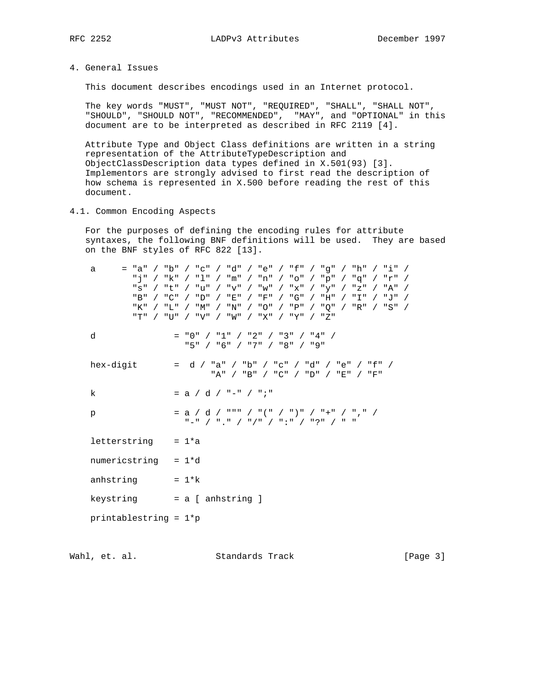4. General Issues

This document describes encodings used in an Internet protocol.

 The key words "MUST", "MUST NOT", "REQUIRED", "SHALL", "SHALL NOT", "SHOULD", "SHOULD NOT", "RECOMMENDED", "MAY", and "OPTIONAL" in this document are to be interpreted as described in RFC 2119 [4].

 Attribute Type and Object Class definitions are written in a string representation of the AttributeTypeDescription and ObjectClassDescription data types defined in X.501(93) [3]. Implementors are strongly advised to first read the description of how schema is represented in X.500 before reading the rest of this document.

4.1. Common Encoding Aspects

 For the purposes of defining the encoding rules for attribute syntaxes, the following BNF definitions will be used. They are based on the BNF styles of RFC 822 [13].

| "a"<br>a<br>"s"<br>"B"<br>"K"<br>"T" | / "b" / "c" / "d" / "e" / "f" / "g" / "h" / "i" /<br>"i" / "k" / "l" / "m" / "n" / "o" / "p" / "q" / "r" /<br>/ "t" / "u" / "v" / "w" / "x" / "v" / "z" / "A" /<br>/ "C" / "D" / "E" / "F" / "G" / "H" / "I" / "J" /<br>/ "L" / "M" / "N" / "O" / "P" / "O" / "R" / "S" /<br>/ "U" / "V" / "W" / "X" / "Y" / "Z" |
|--------------------------------------|------------------------------------------------------------------------------------------------------------------------------------------------------------------------------------------------------------------------------------------------------------------------------------------------------------------|
| d                                    | = "0" / "1" / "2" / "3" / "4" /<br>"5" / "6" / "7" / "8" / "9"                                                                                                                                                                                                                                                   |
| hex-digit                            | = d / "a" / "b" / "c" / "d" / "e" / "f" /<br>"A" / "B" / "C" / "D" / "E" / "F"                                                                                                                                                                                                                                   |
| k                                    | $= a / d / "-" / ";"$                                                                                                                                                                                                                                                                                            |
| p                                    | $= a / d / \sqrt{m} / (m / m) / (m / m)$<br>"-" / "." / "/" / ":" / "?" / " "                                                                                                                                                                                                                                    |
| letterstring                         | $= 1*a$                                                                                                                                                                                                                                                                                                          |
| numericstring $= 1*d$                |                                                                                                                                                                                                                                                                                                                  |
| anhstring                            | $= 1 * k$                                                                                                                                                                                                                                                                                                        |
| keystring                            | = a [ anhstring ]                                                                                                                                                                                                                                                                                                |
| printablestring = $1$ *p             |                                                                                                                                                                                                                                                                                                                  |

Wahl, et. al. Standards Track [Page 3]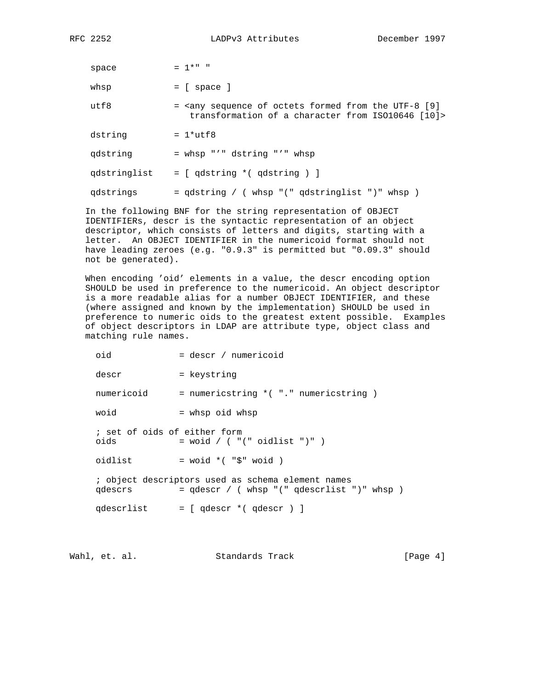$space = 1* " "$  $whsp = [ space ]$ utf8 = <any sequence of octets formed from the UTF-8 [9] transformation of a character from ISO10646 [10]>  $dstring = 1*utf8$  qdstring = whsp "'" dstring "'" whsp qdstringlist = [ qdstring \*( qdstring ) ] qdstrings = qdstring / ( whsp "(" qdstringlist ")" whsp )

 In the following BNF for the string representation of OBJECT IDENTIFIERs, descr is the syntactic representation of an object descriptor, which consists of letters and digits, starting with a letter. An OBJECT IDENTIFIER in the numericoid format should not have leading zeroes (e.g. "0.9.3" is permitted but "0.09.3" should not be generated).

 When encoding 'oid' elements in a value, the descr encoding option SHOULD be used in preference to the numericoid. An object descriptor is a more readable alias for a number OBJECT IDENTIFIER, and these (where assigned and known by the implementation) SHOULD be used in preference to numeric oids to the greatest extent possible. Examples of object descriptors in LDAP are attribute type, object class and matching rule names.

 oid = descr / numericoid descr = keystring numericoid = numericstring \*( "." numericstring ) woid = whsp oid whsp ; set of oids of either form oids  $=$  woid  $/$  (  $"$  (" oidlist ")" ) oidlist  $=$  woid  $*($  " $\sharp$ " woid  $)$  ; object descriptors used as schema element names  $q$ descrs =  $q$ descr / ( whsp "("  $q$ descrlist ")" whsp ) qdescrlist = [ qdescr \*( qdescr ) ]

Wahl, et. al. Standards Track (Page 4)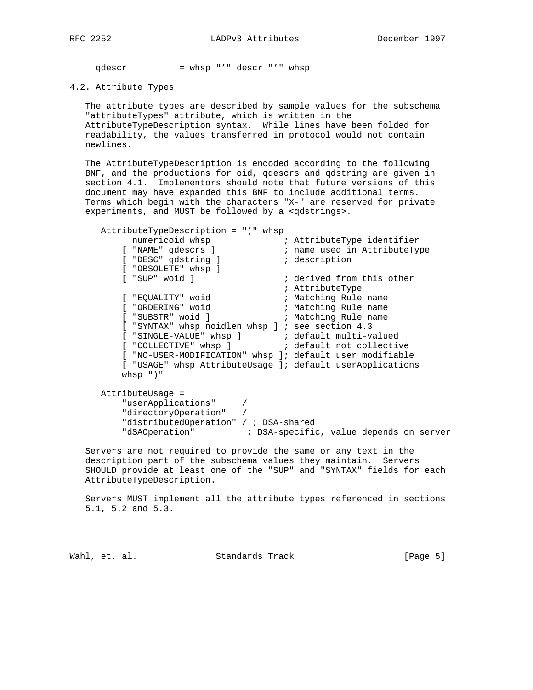qdescr = whsp "'" descr "'" whsp

#### 4.2. Attribute Types

 The attribute types are described by sample values for the subschema "attributeTypes" attribute, which is written in the AttributeTypeDescription syntax. While lines have been folded for readability, the values transferred in protocol would not contain newlines.

 The AttributeTypeDescription is encoded according to the following BNF, and the productions for oid, qdescrs and qdstring are given in section 4.1. Implementors should note that future versions of this document may have expanded this BNF to include additional terms. Terms which begin with the characters "X-" are reserved for private experiments, and MUST be followed by a <qdstrings>.

 AttributeTypeDescription = "(" whsp numericoid whsp  $\hspace{1cm}$  ; AttributeType identifier [ "NAME" qdescrs ] ; name used in AttributeType [ "DESC" qdstring ]  $\qquad$  ; description [ "OBSOLETE" whsp ] [ "SUP" woid ] ; derived from this other ; AttributeType [ "EQUALITY" woid ; Matching Rule name [ "ORDERING" woid ; Matching Rule name [ "SUBSTR" woid ] ; Matching Rule name [ "SYNTAX" whsp noidlen whsp ] ; see section 4.3 [ "SINGLE-VALUE" whsp ] ; default multi-valued [ "COLLECTIVE" whsp ]  $\qquad \qquad ;$  default not collective [ "NO-USER-MODIFICATION" whsp ]; default user modifiable [ "USAGE" whsp AttributeUsage ]; default userApplications whsp ")"

 AttributeUsage = "userApplications" / "directoryOperation" / "distributedOperation" / ; DSA-shared "dSAOperation" ; DSA-specific, value depends on server

 Servers are not required to provide the same or any text in the description part of the subschema values they maintain. Servers SHOULD provide at least one of the "SUP" and "SYNTAX" fields for each AttributeTypeDescription.

 Servers MUST implement all the attribute types referenced in sections 5.1, 5.2 and 5.3.

Wahl, et. al. Standards Track [Page 5]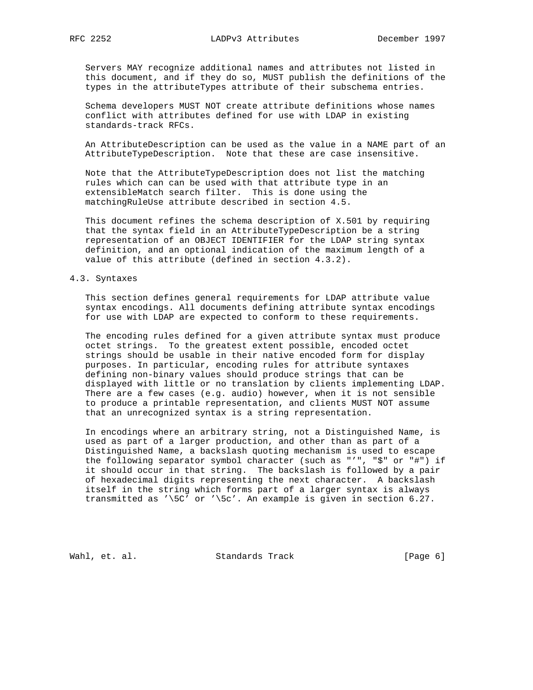Servers MAY recognize additional names and attributes not listed in this document, and if they do so, MUST publish the definitions of the types in the attributeTypes attribute of their subschema entries.

 Schema developers MUST NOT create attribute definitions whose names conflict with attributes defined for use with LDAP in existing standards-track RFCs.

 An AttributeDescription can be used as the value in a NAME part of an AttributeTypeDescription. Note that these are case insensitive.

 Note that the AttributeTypeDescription does not list the matching rules which can can be used with that attribute type in an extensibleMatch search filter. This is done using the matchingRuleUse attribute described in section 4.5.

 This document refines the schema description of X.501 by requiring that the syntax field in an AttributeTypeDescription be a string representation of an OBJECT IDENTIFIER for the LDAP string syntax definition, and an optional indication of the maximum length of a value of this attribute (defined in section 4.3.2).

#### 4.3. Syntaxes

 This section defines general requirements for LDAP attribute value syntax encodings. All documents defining attribute syntax encodings for use with LDAP are expected to conform to these requirements.

 The encoding rules defined for a given attribute syntax must produce octet strings. To the greatest extent possible, encoded octet strings should be usable in their native encoded form for display purposes. In particular, encoding rules for attribute syntaxes defining non-binary values should produce strings that can be displayed with little or no translation by clients implementing LDAP. There are a few cases (e.g. audio) however, when it is not sensible to produce a printable representation, and clients MUST NOT assume that an unrecognized syntax is a string representation.

 In encodings where an arbitrary string, not a Distinguished Name, is used as part of a larger production, and other than as part of a Distinguished Name, a backslash quoting mechanism is used to escape the following separator symbol character (such as "'", "\$" or "#") if it should occur in that string. The backslash is followed by a pair of hexadecimal digits representing the next character. A backslash itself in the string which forms part of a larger syntax is always transmitted as '\5C' or '\5c'. An example is given in section 6.27.

Wahl, et. al. Standards Track [Page 6]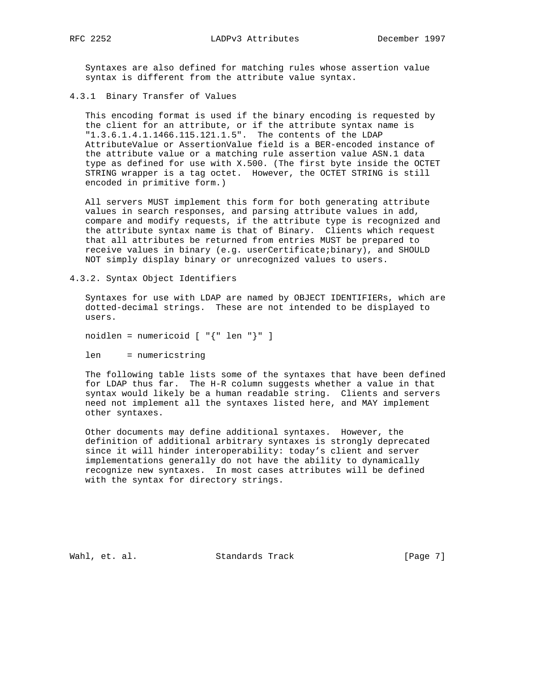Syntaxes are also defined for matching rules whose assertion value syntax is different from the attribute value syntax.

4.3.1 Binary Transfer of Values

 This encoding format is used if the binary encoding is requested by the client for an attribute, or if the attribute syntax name is "1.3.6.1.4.1.1466.115.121.1.5". The contents of the LDAP AttributeValue or AssertionValue field is a BER-encoded instance of the attribute value or a matching rule assertion value ASN.1 data type as defined for use with X.500. (The first byte inside the OCTET STRING wrapper is a tag octet. However, the OCTET STRING is still encoded in primitive form.)

 All servers MUST implement this form for both generating attribute values in search responses, and parsing attribute values in add, compare and modify requests, if the attribute type is recognized and the attribute syntax name is that of Binary. Clients which request that all attributes be returned from entries MUST be prepared to receive values in binary (e.g. userCertificate;binary), and SHOULD NOT simply display binary or unrecognized values to users.

4.3.2. Syntax Object Identifiers

 Syntaxes for use with LDAP are named by OBJECT IDENTIFIERs, which are dotted-decimal strings. These are not intended to be displayed to users.

noidlen = numericoid [ "{" len "}" ]

len = numericstring

 The following table lists some of the syntaxes that have been defined for LDAP thus far. The H-R column suggests whether a value in that syntax would likely be a human readable string. Clients and servers need not implement all the syntaxes listed here, and MAY implement other syntaxes.

 Other documents may define additional syntaxes. However, the definition of additional arbitrary syntaxes is strongly deprecated since it will hinder interoperability: today's client and server implementations generally do not have the ability to dynamically recognize new syntaxes. In most cases attributes will be defined with the syntax for directory strings.

Wahl, et. al. Standards Track [Page 7]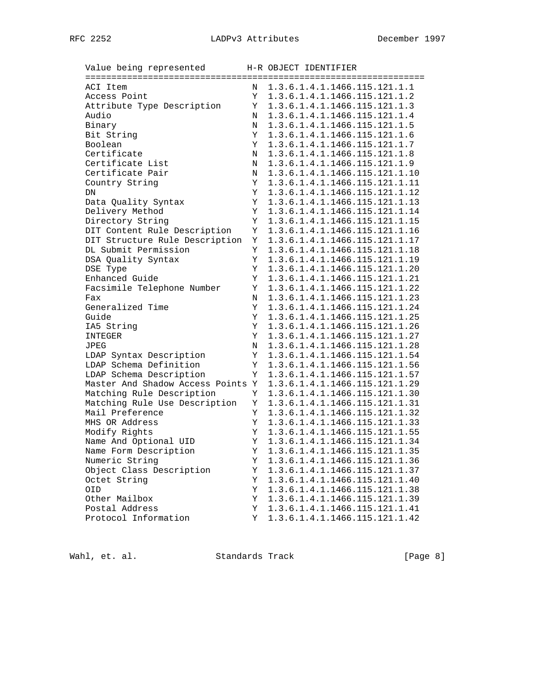Value being represented H-R OBJECT IDENTIFIER ================================================================= ACI Item N 1.3.6.1.4.1.1466.115.121.1.1 Access Point Y 1.3.6.1.4.1.1466.115.121.1.2 Access Point<br>Attribute Type Description  $Y = 1.3.6.1.4.1.1466.115.121.1.3$ Audio N 1.3.6.1.4.1.1466.115.121.1.4<br>Binary N 1.3.6.1.4.1.1466.115.121.1.5 Binary N 1.3.6.1.4.1.1466.115.121.1.5<br>Bit String Y 1.3.6.1.4.1.1466.115.121.1.6 Y 1.3.6.1.4.1.1466.115.121.1.6 Boolean Y 1.3.6.1.4.1.1466.115.121.1.7 Certificate N 1.3.6.1.4.1.1466.115.121.1.8 Certificate List N 1.3.6.1.4.1.1466.115.121.1.9 Certificate Pair M 1.3.6.1.4.1.1466.115.121.1.10 Country String T 1.3.6.1.4.1.1466.115.121.1.11 DN Y 1.3.6.1.4.1.1466.115.121.1.12 Data Quality Syntax Y 1.3.6.1.4.1.1466.115.121.1.13 Delivery Method Y 1.3.6.1.4.1.1466.115.121.1.14 Directory String Y 1.3.6.1.4.1.1466.115.121.1.15 DIT Content Rule Description Y 1.3.6.1.4.1.1466.115.121.1.16 DIT Structure Rule Description Y 1.3.6.1.4.1.1466.115.121.1.17 DL Submit Permission Y 1.3.6.1.4.1.1466.115.121.1.18 DSA Quality Syntax Y 1.3.6.1.4.1.1466.115.121.1.19 DSE Type  $Y = 1.3.6.1.4.1.1466.115.121.1.20$  Enhanced Guide Y 1.3.6.1.4.1.1466.115.121.1.21 Facsimile Telephone Number Y 1.3.6.1.4.1.1466.115.121.1.22 Fax N 1.3.6.1.4.1.1466.115.121.1.23 Generalized Time <br>  $Y = 1.3.6.1.4.1.1466.115.121.1.24$ <br>
Guide Guide <br>TA5 String Y 1.3.6.1.4.1.1466.115.121.1.25<br>Y 1.3.6.1.4.1.1466.115.121.1.26 Y 1.3.6.1.4.1.1466.115.121.1.26 INTEGER Y 1.3.6.1.4.1.1466.115.121.1.27 JPEG N 1.3.6.1.4.1.1466.115.121.1.28 LDAP Syntax Description Y 1.3.6.1.4.1.1466.115.121.1.54 LDAP Schema Definition Y 1.3.6.1.4.1.1466.115.121.1.56 LDAP Schema Description Y 1.3.6.1.4.1.1466.115.121.1.57 Master And Shadow Access Points Y 1.3.6.1.4.1.1466.115.121.1.29 Matching Rule Description Y 1.3.6.1.4.1.1466.115.121.1.30<br>Matching Rule Use Description Y 1.3.6.1.4.1.1466.115.121.1.31 Matching Rule Use Description Y 1.3.6.1.4.1.1466.115.121.1.31 Mail Preference Y 1.3.6.1.4.1.1466.115.121.1.32 MHS OR Address Y 1.3.6.1.4.1.1466.115.121.1.33 Modify Rights Y 1.3.6.1.4.1.1466.115.121.1.55 Name And Optional UID  $Y$  1.3.6.1.4.1.1466.115.121.1.34 Name Form Description Y 1.3.6.1.4.1.1466.115.121.1.35 Numeric String  $Y$  1.3.6.1.4.1.1466.115.121.1.36 Object Class Description Y 1.3.6.1.4.1.1466.115.121.1.37 Octet String Y 1.3.6.1.4.1.1466.115.121.1.40 OID Y 1.3.6.1.4.1.1466.115.121.1.38 Other Mailbox Y 1.3.6.1.4.1.1466.115.121.1.39 Postal Address Y 1.3.6.1.4.1.1466.115.121.1.41 Protocol Information Y 1.3.6.1.4.1.1466.115.121.1.42

Wahl, et. al. Standards Track [Page 8]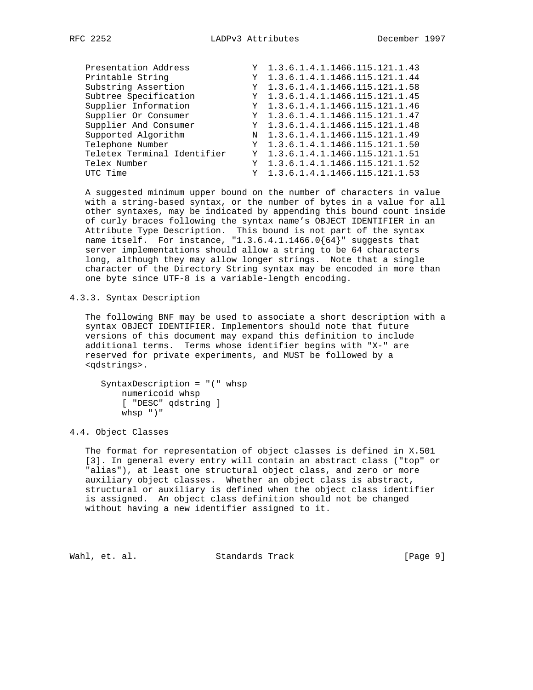| Presentation Address        | Y 1.3.6.1.4.1.1466.115.121.1.43   |
|-----------------------------|-----------------------------------|
| Printable String            | Y 1.3.6.1.4.1.1466.115.121.1.44   |
| Substring Assertion         | Y 1.3.6.1.4.1.1466.115.121.1.58   |
| Subtree Specification       | Y 1.3.6.1.4.1.1466.115.121.1.45   |
| Supplier Information        | Y 1.3.6.1.4.1.1466.115.121.1.46   |
| Supplier Or Consumer        | Y 1.3.6.1.4.1.1466.115.121.1.47   |
| Supplier And Consumer       | Y 1.3.6.1.4.1.1466.115.121.1.48   |
| Supported Algorithm         | N 1.3.6.1.4.1.1466.115.121.1.49   |
| Telephone Number            | Y 1.3.6.1.4.1.1466.115.121.1.50   |
| Teletex Terminal Identifier | Y 1.3.6.1.4.1.1466.115.121.1.51   |
| Telex Number                | $Y$ 1.3.6.1.4.1.1466.115.121.1.52 |
| UTC Time                    | $Y$ 1.3.6.1.4.1.1466.115.121.1.53 |

 A suggested minimum upper bound on the number of characters in value with a string-based syntax, or the number of bytes in a value for all other syntaxes, may be indicated by appending this bound count inside of curly braces following the syntax name's OBJECT IDENTIFIER in an Attribute Type Description. This bound is not part of the syntax name itself. For instance, "1.3.6.4.1.1466.0{64}" suggests that server implementations should allow a string to be 64 characters long, although they may allow longer strings. Note that a single character of the Directory String syntax may be encoded in more than one byte since UTF-8 is a variable-length encoding.

4.3.3. Syntax Description

 The following BNF may be used to associate a short description with a syntax OBJECT IDENTIFIER. Implementors should note that future versions of this document may expand this definition to include additional terms. Terms whose identifier begins with "X-" are reserved for private experiments, and MUST be followed by a <qdstrings>.

 SyntaxDescription = "(" whsp numericoid whsp [ "DESC" qdstring ] whsp ")"

4.4. Object Classes

 The format for representation of object classes is defined in X.501 [3]. In general every entry will contain an abstract class ("top" or "alias"), at least one structural object class, and zero or more auxiliary object classes. Whether an object class is abstract, structural or auxiliary is defined when the object class identifier is assigned. An object class definition should not be changed without having a new identifier assigned to it.

Wahl, et. al. Standards Track (Page 9)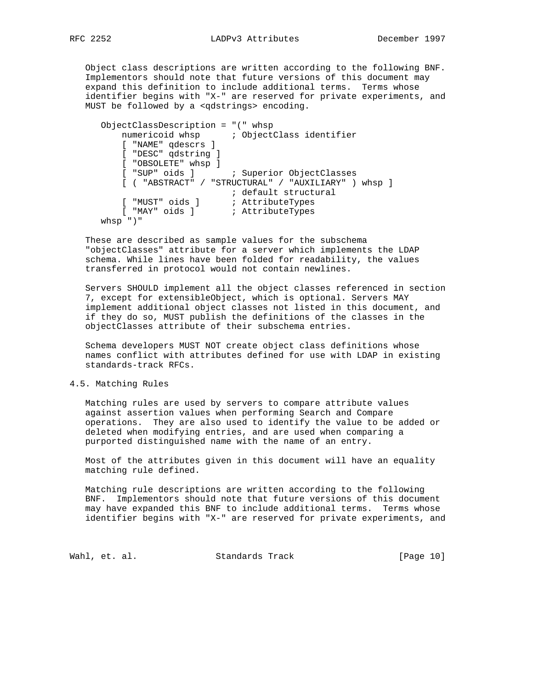Object class descriptions are written according to the following BNF. Implementors should note that future versions of this document may expand this definition to include additional terms. Terms whose identifier begins with "X-" are reserved for private experiments, and MUST be followed by a <qdstrings> encoding.

```
 ObjectClassDescription = "(" whsp
        numericoid whsp \qquad ; ObjectClass identifier
         [ "NAME" qdescrs ]
         [ "DESC" qdstring ]
         [ "OBSOLETE" whsp ]
         [ "SUP" oids ] ; Superior ObjectClasses
         [ ( "ABSTRACT" / "STRUCTURAL" / "AUXILIARY" ) whsp ]
 ; default structural
 [ "MUST" oids ] ; AttributeTypes
 [ "MAY" oids ] ; AttributeTypes
     whsp ")"
```
 These are described as sample values for the subschema "objectClasses" attribute for a server which implements the LDAP schema. While lines have been folded for readability, the values transferred in protocol would not contain newlines.

 Servers SHOULD implement all the object classes referenced in section 7, except for extensibleObject, which is optional. Servers MAY implement additional object classes not listed in this document, and if they do so, MUST publish the definitions of the classes in the objectClasses attribute of their subschema entries.

 Schema developers MUST NOT create object class definitions whose names conflict with attributes defined for use with LDAP in existing standards-track RFCs.

## 4.5. Matching Rules

 Matching rules are used by servers to compare attribute values against assertion values when performing Search and Compare operations. They are also used to identify the value to be added or deleted when modifying entries, and are used when comparing a purported distinguished name with the name of an entry.

 Most of the attributes given in this document will have an equality matching rule defined.

 Matching rule descriptions are written according to the following BNF. Implementors should note that future versions of this document may have expanded this BNF to include additional terms. Terms whose identifier begins with "X-" are reserved for private experiments, and

Wahl, et. al. Standards Track [Page 10]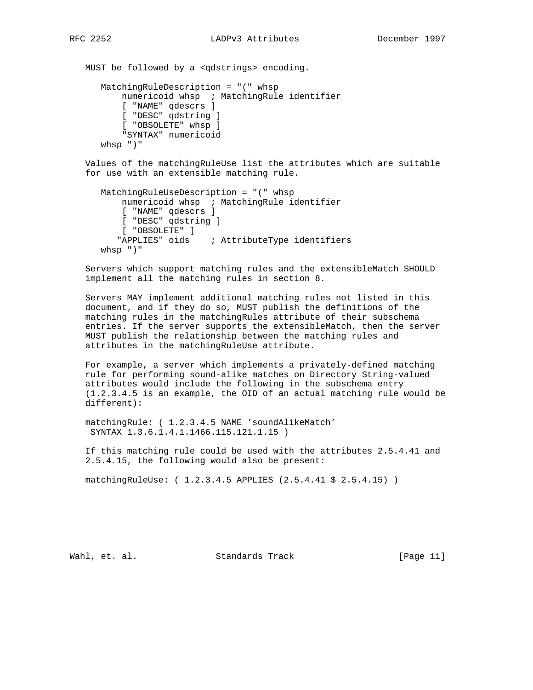MUST be followed by a <qdstrings> encoding. MatchingRuleDescription = "(" whsp numericoid whsp ; MatchingRule identifier [ "NAME" qdescrs ] [ "DESC" qdstring ] [ "OBSOLETE" whsp ] "SYNTAX" numericoid whsp ")"

 Values of the matchingRuleUse list the attributes which are suitable for use with an extensible matching rule.

```
 MatchingRuleUseDescription = "(" whsp
    numericoid whsp ; MatchingRule identifier
     [ "NAME" qdescrs ]
    [ "DESC" qdstring ]
    [ "OBSOLETE" ]
    "APPLIES" oids ; AttributeType identifiers
 whsp ")"
```
 Servers which support matching rules and the extensibleMatch SHOULD implement all the matching rules in section 8.

 Servers MAY implement additional matching rules not listed in this document, and if they do so, MUST publish the definitions of the matching rules in the matchingRules attribute of their subschema entries. If the server supports the extensibleMatch, then the server MUST publish the relationship between the matching rules and attributes in the matchingRuleUse attribute.

 For example, a server which implements a privately-defined matching rule for performing sound-alike matches on Directory String-valued attributes would include the following in the subschema entry (1.2.3.4.5 is an example, the OID of an actual matching rule would be different):

 matchingRule: ( 1.2.3.4.5 NAME 'soundAlikeMatch' SYNTAX 1.3.6.1.4.1.1466.115.121.1.15 )

 If this matching rule could be used with the attributes 2.5.4.41 and 2.5.4.15, the following would also be present:

matchingRuleUse: ( 1.2.3.4.5 APPLIES (2.5.4.41 \$ 2.5.4.15) )

Wahl, et. al. Standards Track [Page 11]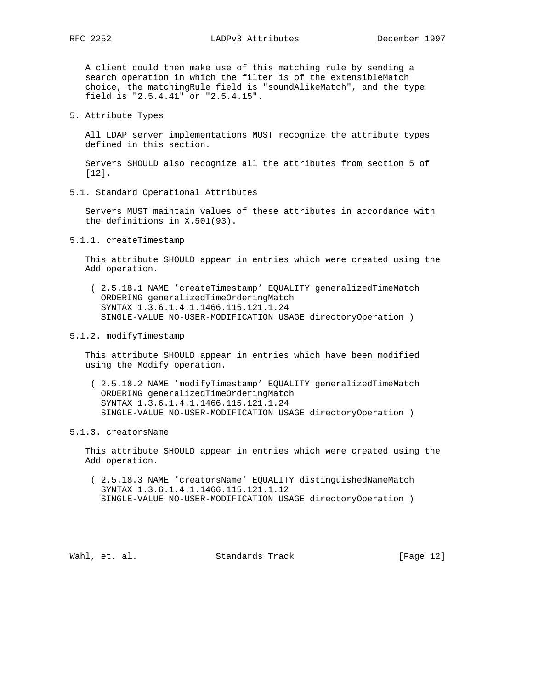A client could then make use of this matching rule by sending a search operation in which the filter is of the extensibleMatch choice, the matchingRule field is "soundAlikeMatch", and the type field is "2.5.4.41" or "2.5.4.15".

5. Attribute Types

 All LDAP server implementations MUST recognize the attribute types defined in this section.

 Servers SHOULD also recognize all the attributes from section 5 of [12].

5.1. Standard Operational Attributes

 Servers MUST maintain values of these attributes in accordance with the definitions in X.501(93).

5.1.1. createTimestamp

 This attribute SHOULD appear in entries which were created using the Add operation.

- ( 2.5.18.1 NAME 'createTimestamp' EQUALITY generalizedTimeMatch ORDERING generalizedTimeOrderingMatch SYNTAX 1.3.6.1.4.1.1466.115.121.1.24 SINGLE-VALUE NO-USER-MODIFICATION USAGE directoryOperation )
- 5.1.2. modifyTimestamp

 This attribute SHOULD appear in entries which have been modified using the Modify operation.

- ( 2.5.18.2 NAME 'modifyTimestamp' EQUALITY generalizedTimeMatch ORDERING generalizedTimeOrderingMatch SYNTAX 1.3.6.1.4.1.1466.115.121.1.24 SINGLE-VALUE NO-USER-MODIFICATION USAGE directoryOperation )
- 5.1.3. creatorsName

 This attribute SHOULD appear in entries which were created using the Add operation.

 ( 2.5.18.3 NAME 'creatorsName' EQUALITY distinguishedNameMatch SYNTAX 1.3.6.1.4.1.1466.115.121.1.12 SINGLE-VALUE NO-USER-MODIFICATION USAGE directoryOperation )

Wahl, et. al. Standards Track [Page 12]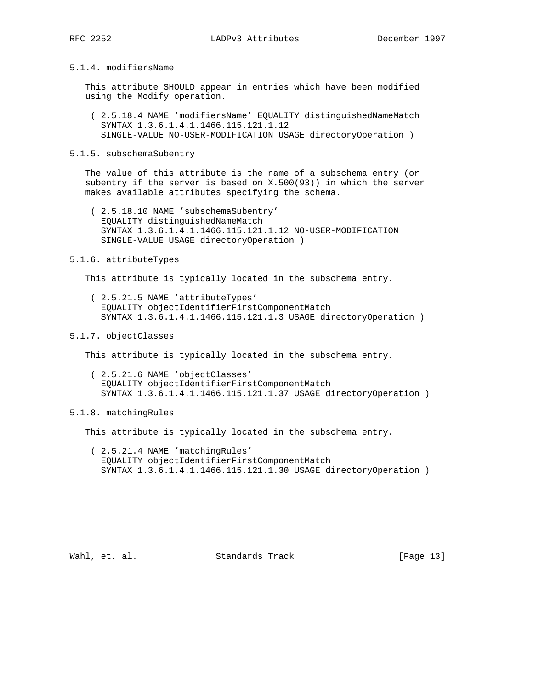## 5.1.4. modifiersName

 This attribute SHOULD appear in entries which have been modified using the Modify operation.

 ( 2.5.18.4 NAME 'modifiersName' EQUALITY distinguishedNameMatch SYNTAX 1.3.6.1.4.1.1466.115.121.1.12 SINGLE-VALUE NO-USER-MODIFICATION USAGE directoryOperation )

#### 5.1.5. subschemaSubentry

 The value of this attribute is the name of a subschema entry (or subentry if the server is based on X.500(93)) in which the server makes available attributes specifying the schema.

 ( 2.5.18.10 NAME 'subschemaSubentry' EQUALITY distinguishedNameMatch SYNTAX 1.3.6.1.4.1.1466.115.121.1.12 NO-USER-MODIFICATION SINGLE-VALUE USAGE directoryOperation )

#### 5.1.6. attributeTypes

This attribute is typically located in the subschema entry.

 ( 2.5.21.5 NAME 'attributeTypes' EQUALITY objectIdentifierFirstComponentMatch SYNTAX 1.3.6.1.4.1.1466.115.121.1.3 USAGE directoryOperation )

## 5.1.7. objectClasses

This attribute is typically located in the subschema entry.

- ( 2.5.21.6 NAME 'objectClasses' EQUALITY objectIdentifierFirstComponentMatch SYNTAX 1.3.6.1.4.1.1466.115.121.1.37 USAGE directoryOperation )
- 5.1.8. matchingRules

This attribute is typically located in the subschema entry.

 ( 2.5.21.4 NAME 'matchingRules' EQUALITY objectIdentifierFirstComponentMatch SYNTAX 1.3.6.1.4.1.1466.115.121.1.30 USAGE directoryOperation )

Wahl, et. al. Standards Track [Page 13]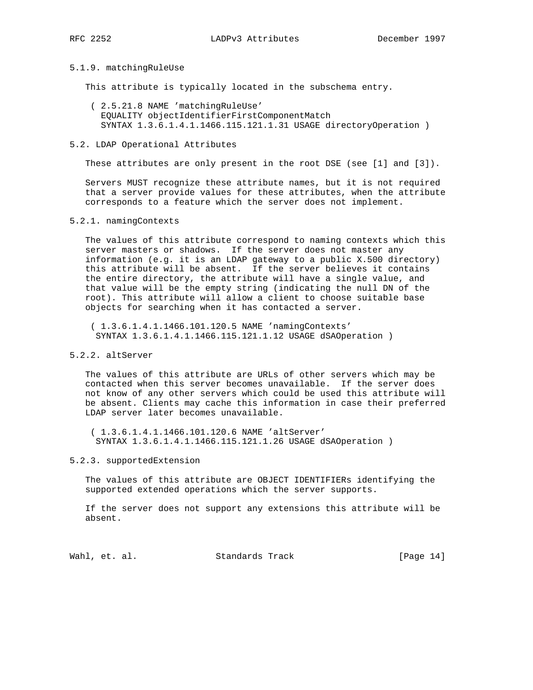#### 5.1.9. matchingRuleUse

This attribute is typically located in the subschema entry.

- ( 2.5.21.8 NAME 'matchingRuleUse' EQUALITY objectIdentifierFirstComponentMatch SYNTAX 1.3.6.1.4.1.1466.115.121.1.31 USAGE directoryOperation )
- 5.2. LDAP Operational Attributes

These attributes are only present in the root DSE (see [1] and [3]).

 Servers MUST recognize these attribute names, but it is not required that a server provide values for these attributes, when the attribute corresponds to a feature which the server does not implement.

#### 5.2.1. namingContexts

 The values of this attribute correspond to naming contexts which this server masters or shadows. If the server does not master any information (e.g. it is an LDAP gateway to a public X.500 directory) this attribute will be absent. If the server believes it contains the entire directory, the attribute will have a single value, and that value will be the empty string (indicating the null DN of the root). This attribute will allow a client to choose suitable base objects for searching when it has contacted a server.

 ( 1.3.6.1.4.1.1466.101.120.5 NAME 'namingContexts' SYNTAX 1.3.6.1.4.1.1466.115.121.1.12 USAGE dSAOperation )

# 5.2.2. altServer

 The values of this attribute are URLs of other servers which may be contacted when this server becomes unavailable. If the server does not know of any other servers which could be used this attribute will be absent. Clients may cache this information in case their preferred LDAP server later becomes unavailable.

 ( 1.3.6.1.4.1.1466.101.120.6 NAME 'altServer' SYNTAX 1.3.6.1.4.1.1466.115.121.1.26 USAGE dSAOperation )

## 5.2.3. supportedExtension

 The values of this attribute are OBJECT IDENTIFIERs identifying the supported extended operations which the server supports.

 If the server does not support any extensions this attribute will be absent.

Wahl, et. al. Standards Track [Page 14]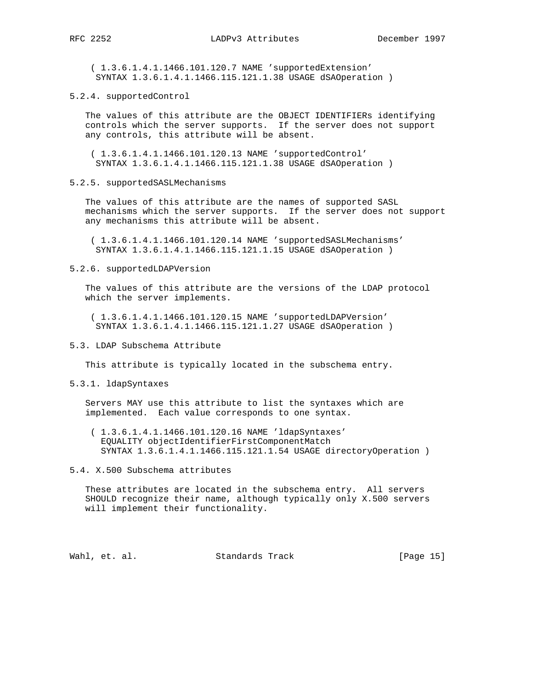( 1.3.6.1.4.1.1466.101.120.7 NAME 'supportedExtension' SYNTAX 1.3.6.1.4.1.1466.115.121.1.38 USAGE dSAOperation )

5.2.4. supportedControl

 The values of this attribute are the OBJECT IDENTIFIERs identifying controls which the server supports. If the server does not support any controls, this attribute will be absent.

 ( 1.3.6.1.4.1.1466.101.120.13 NAME 'supportedControl' SYNTAX 1.3.6.1.4.1.1466.115.121.1.38 USAGE dSAOperation )

5.2.5. supportedSASLMechanisms

 The values of this attribute are the names of supported SASL mechanisms which the server supports. If the server does not support any mechanisms this attribute will be absent.

 ( 1.3.6.1.4.1.1466.101.120.14 NAME 'supportedSASLMechanisms' SYNTAX 1.3.6.1.4.1.1466.115.121.1.15 USAGE dSAOperation )

5.2.6. supportedLDAPVersion

 The values of this attribute are the versions of the LDAP protocol which the server implements.

 ( 1.3.6.1.4.1.1466.101.120.15 NAME 'supportedLDAPVersion' SYNTAX 1.3.6.1.4.1.1466.115.121.1.27 USAGE dSAOperation )

## 5.3. LDAP Subschema Attribute

This attribute is typically located in the subschema entry.

5.3.1. ldapSyntaxes

 Servers MAY use this attribute to list the syntaxes which are implemented. Each value corresponds to one syntax.

 ( 1.3.6.1.4.1.1466.101.120.16 NAME 'ldapSyntaxes' EQUALITY objectIdentifierFirstComponentMatch SYNTAX 1.3.6.1.4.1.1466.115.121.1.54 USAGE directoryOperation )

5.4. X.500 Subschema attributes

 These attributes are located in the subschema entry. All servers SHOULD recognize their name, although typically only X.500 servers will implement their functionality.

Wahl, et. al. Standards Track [Page 15]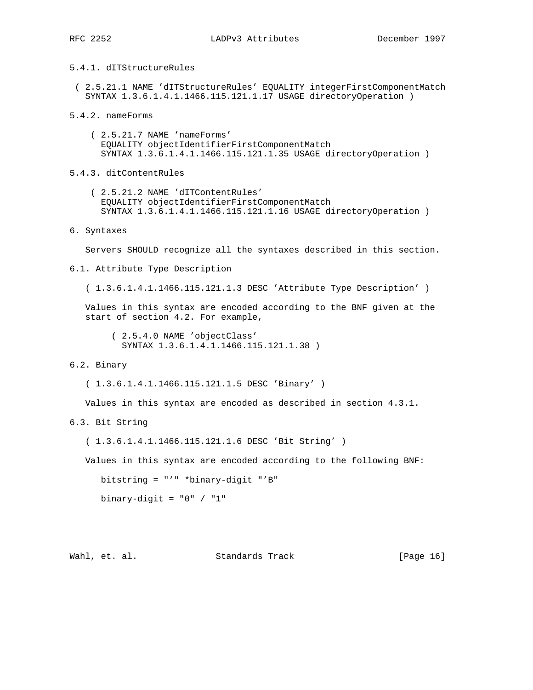# 5.4.1. dITStructureRules

- ( 2.5.21.1 NAME 'dITStructureRules' EQUALITY integerFirstComponentMatch SYNTAX 1.3.6.1.4.1.1466.115.121.1.17 USAGE directoryOperation )
- 5.4.2. nameForms
	- ( 2.5.21.7 NAME 'nameForms' EQUALITY objectIdentifierFirstComponentMatch SYNTAX 1.3.6.1.4.1.1466.115.121.1.35 USAGE directoryOperation )

5.4.3. ditContentRules

- ( 2.5.21.2 NAME 'dITContentRules' EQUALITY objectIdentifierFirstComponentMatch SYNTAX 1.3.6.1.4.1.1466.115.121.1.16 USAGE directoryOperation )
- 6. Syntaxes

Servers SHOULD recognize all the syntaxes described in this section.

6.1. Attribute Type Description

( 1.3.6.1.4.1.1466.115.121.1.3 DESC 'Attribute Type Description' )

 Values in this syntax are encoded according to the BNF given at the start of section 4.2. For example,

 ( 2.5.4.0 NAME 'objectClass' SYNTAX 1.3.6.1.4.1.1466.115.121.1.38 )

## 6.2. Binary

( 1.3.6.1.4.1.1466.115.121.1.5 DESC 'Binary' )

Values in this syntax are encoded as described in section 4.3.1.

6.3. Bit String

( 1.3.6.1.4.1.1466.115.121.1.6 DESC 'Bit String' )

Values in this syntax are encoded according to the following BNF:

bitstring = "'" \*binary-digit "'B"

binary-digit =  $"0" / "1"$ 

Wahl, et. al. Standards Track [Page 16]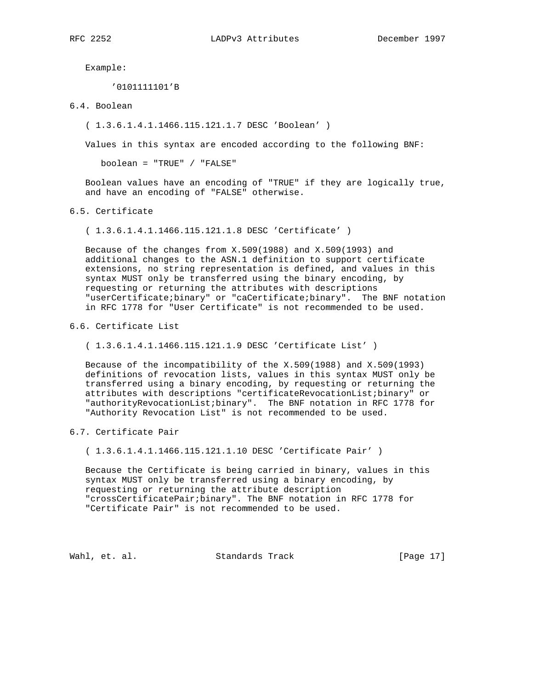Example:

'0101111101'B

6.4. Boolean

( 1.3.6.1.4.1.1466.115.121.1.7 DESC 'Boolean' )

Values in this syntax are encoded according to the following BNF:

boolean = "TRUE" / "FALSE"

 Boolean values have an encoding of "TRUE" if they are logically true, and have an encoding of "FALSE" otherwise.

6.5. Certificate

( 1.3.6.1.4.1.1466.115.121.1.8 DESC 'Certificate' )

 Because of the changes from X.509(1988) and X.509(1993) and additional changes to the ASN.1 definition to support certificate extensions, no string representation is defined, and values in this syntax MUST only be transferred using the binary encoding, by requesting or returning the attributes with descriptions "userCertificate;binary" or "caCertificate;binary". The BNF notation in RFC 1778 for "User Certificate" is not recommended to be used.

6.6. Certificate List

( 1.3.6.1.4.1.1466.115.121.1.9 DESC 'Certificate List' )

 Because of the incompatibility of the X.509(1988) and X.509(1993) definitions of revocation lists, values in this syntax MUST only be transferred using a binary encoding, by requesting or returning the attributes with descriptions "certificateRevocationList;binary" or "authorityRevocationList;binary". The BNF notation in RFC 1778 for "Authority Revocation List" is not recommended to be used.

## 6.7. Certificate Pair

( 1.3.6.1.4.1.1466.115.121.1.10 DESC 'Certificate Pair' )

 Because the Certificate is being carried in binary, values in this syntax MUST only be transferred using a binary encoding, by requesting or returning the attribute description "crossCertificatePair;binary". The BNF notation in RFC 1778 for "Certificate Pair" is not recommended to be used.

Wahl, et. al. Standards Track [Page 17]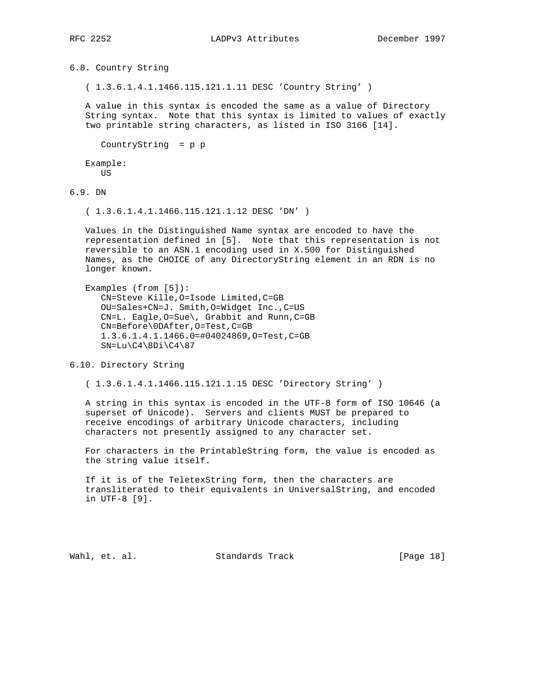6.8. Country String

( 1.3.6.1.4.1.1466.115.121.1.11 DESC 'Country String' )

 A value in this syntax is encoded the same as a value of Directory String syntax. Note that this syntax is limited to values of exactly two printable string characters, as listed in ISO 3166 [14].

```
 CountryString = p p
```
 Example: **TIS** 

6.9. DN

( 1.3.6.1.4.1.1466.115.121.1.12 DESC 'DN' )

 Values in the Distinguished Name syntax are encoded to have the representation defined in [5]. Note that this representation is not reversible to an ASN.1 encoding used in X.500 for Distinguished Names, as the CHOICE of any DirectoryString element in an RDN is no longer known.

```
 Examples (from [5]):
   CN=Steve Kille,O=Isode Limited,C=GB
    OU=Sales+CN=J. Smith,O=Widget Inc.,C=US
   CN=L. Eagle,O=Sue\, Grabbit and Runn,C=GB
    CN=Before\0DAfter,O=Test,C=GB
    1.3.6.1.4.1.1466.0=#04024869,O=Test,C=GB
  SN=Lu\C4\8Di\C4\87
```
6.10. Directory String

( 1.3.6.1.4.1.1466.115.121.1.15 DESC 'Directory String' )

 A string in this syntax is encoded in the UTF-8 form of ISO 10646 (a superset of Unicode). Servers and clients MUST be prepared to receive encodings of arbitrary Unicode characters, including characters not presently assigned to any character set.

 For characters in the PrintableString form, the value is encoded as the string value itself.

 If it is of the TeletexString form, then the characters are transliterated to their equivalents in UniversalString, and encoded in UTF-8 [9].

Wahl, et. al. Standards Track [Page 18]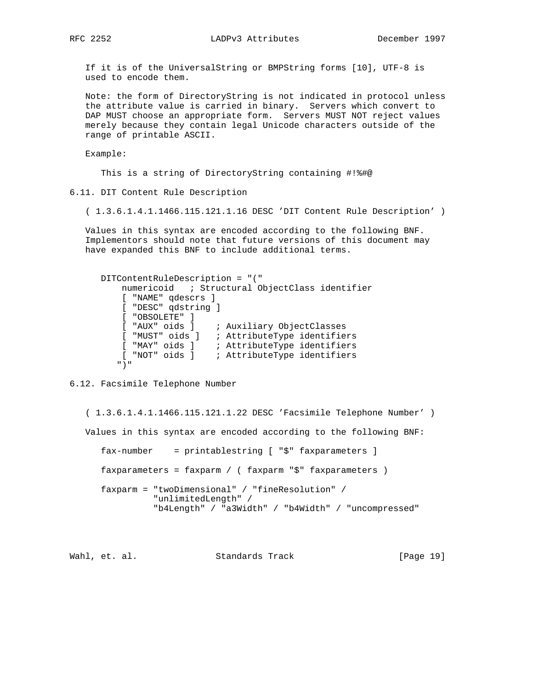RFC 2252 LADPv3 Attributes December 1997

 If it is of the UniversalString or BMPString forms [10], UTF-8 is used to encode them.

 Note: the form of DirectoryString is not indicated in protocol unless the attribute value is carried in binary. Servers which convert to DAP MUST choose an appropriate form. Servers MUST NOT reject values merely because they contain legal Unicode characters outside of the range of printable ASCII.

Example:

This is a string of DirectoryString containing #!%#@

6.11. DIT Content Rule Description

( 1.3.6.1.4.1.1466.115.121.1.16 DESC 'DIT Content Rule Description' )

 Values in this syntax are encoded according to the following BNF. Implementors should note that future versions of this document may have expanded this BNF to include additional terms.

```
 DITContentRuleDescription = "("
         numericoid ; Structural ObjectClass identifier
         [ "NAME" qdescrs ]
         [ "DESC" qdstring ]
         [ "OBSOLETE" ]
 [ "AUX" oids ] ; Auxiliary ObjectClasses
 [ "MUST" oids ] ; AttributeType identifiers
 [ "MAY" oids ] ; AttributeType identifiers
 [ "NOT" oids ] ; AttributeType identifiers
        ")"
```
6.12. Facsimile Telephone Number

 ( 1.3.6.1.4.1.1466.115.121.1.22 DESC 'Facsimile Telephone Number' ) Values in this syntax are encoded according to the following BNF: fax-number = printablestring [ "\$" faxparameters ] faxparameters = faxparm / ( faxparm "\$" faxparameters ) faxparm = "twoDimensional" / "fineResolution" / "unlimitedLength" / "b4Length" / "a3Width" / "b4Width" / "uncompressed"

Wahl, et. al. Standards Track [Page 19]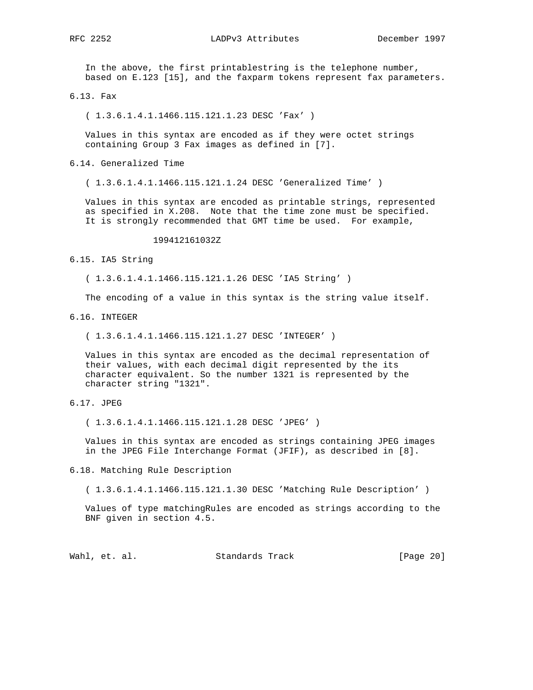RFC 2252 LADPv3 Attributes December 1997

 In the above, the first printablestring is the telephone number, based on E.123 [15], and the faxparm tokens represent fax parameters.

6.13. Fax

( 1.3.6.1.4.1.1466.115.121.1.23 DESC 'Fax' )

 Values in this syntax are encoded as if they were octet strings containing Group 3 Fax images as defined in [7].

6.14. Generalized Time

( 1.3.6.1.4.1.1466.115.121.1.24 DESC 'Generalized Time' )

 Values in this syntax are encoded as printable strings, represented as specified in X.208. Note that the time zone must be specified. It is strongly recommended that GMT time be used. For example,

199412161032Z

6.15. IA5 String

( 1.3.6.1.4.1.1466.115.121.1.26 DESC 'IA5 String' )

The encoding of a value in this syntax is the string value itself.

6.16. INTEGER

( 1.3.6.1.4.1.1466.115.121.1.27 DESC 'INTEGER' )

 Values in this syntax are encoded as the decimal representation of their values, with each decimal digit represented by the its character equivalent. So the number 1321 is represented by the character string "1321".

6.17. JPEG

( 1.3.6.1.4.1.1466.115.121.1.28 DESC 'JPEG' )

 Values in this syntax are encoded as strings containing JPEG images in the JPEG File Interchange Format (JFIF), as described in [8].

6.18. Matching Rule Description

( 1.3.6.1.4.1.1466.115.121.1.30 DESC 'Matching Rule Description' )

 Values of type matchingRules are encoded as strings according to the BNF given in section 4.5.

Wahl, et. al. Standards Track [Page 20]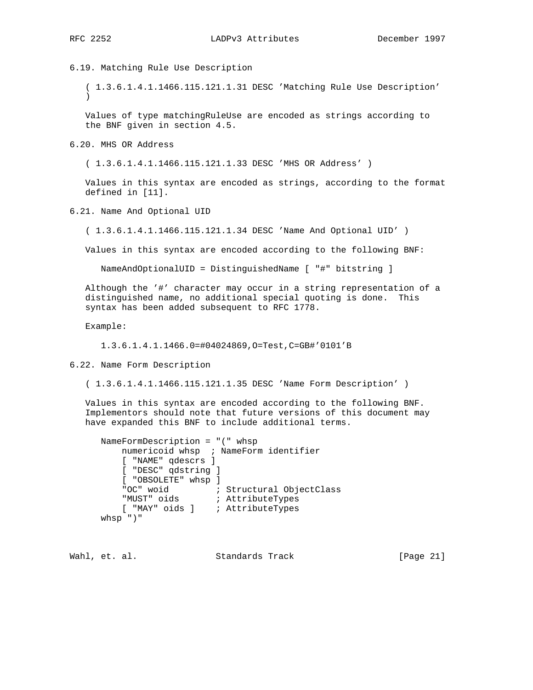6.19. Matching Rule Use Description

 ( 1.3.6.1.4.1.1466.115.121.1.31 DESC 'Matching Rule Use Description'  $\lambda$ 

 Values of type matchingRuleUse are encoded as strings according to the BNF given in section 4.5.

6.20. MHS OR Address

( 1.3.6.1.4.1.1466.115.121.1.33 DESC 'MHS OR Address' )

 Values in this syntax are encoded as strings, according to the format defined in [11].

6.21. Name And Optional UID

( 1.3.6.1.4.1.1466.115.121.1.34 DESC 'Name And Optional UID' )

Values in this syntax are encoded according to the following BNF:

NameAndOptionalUID = DistinguishedName [ "#" bitstring ]

 Although the '#' character may occur in a string representation of a distinguished name, no additional special quoting is done. This syntax has been added subsequent to RFC 1778.

Example:

1.3.6.1.4.1.1466.0=#04024869,O=Test,C=GB#'0101'B

6.22. Name Form Description

( 1.3.6.1.4.1.1466.115.121.1.35 DESC 'Name Form Description' )

 Values in this syntax are encoded according to the following BNF. Implementors should note that future versions of this document may have expanded this BNF to include additional terms.

```
 NameFormDescription = "(" whsp
         numericoid whsp ; NameForm identifier
         [ "NAME" qdescrs ]
         [ "DESC" qdstring ]
         [ "OBSOLETE" whsp ]
"OC" woid \qquad \qquad ; Structural ObjectClass
 "MUST" oids ; AttributeTypes
 [ "MAY" oids ] ; AttributeTypes
      whsp ")"
```
Wahl, et. al. Standards Track [Page 21]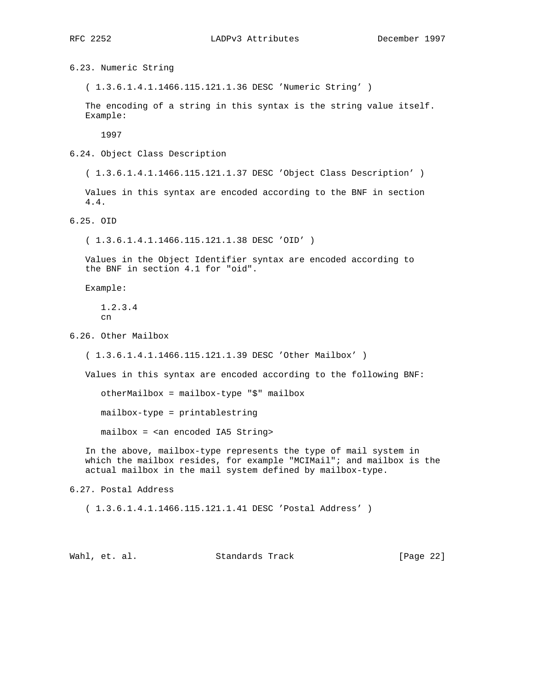6.23. Numeric String

( 1.3.6.1.4.1.1466.115.121.1.36 DESC 'Numeric String' )

 The encoding of a string in this syntax is the string value itself. Example:

1997

6.24. Object Class Description

( 1.3.6.1.4.1.1466.115.121.1.37 DESC 'Object Class Description' )

 Values in this syntax are encoded according to the BNF in section 4.4.

6.25. OID

( 1.3.6.1.4.1.1466.115.121.1.38 DESC 'OID' )

 Values in the Object Identifier syntax are encoded according to the BNF in section 4.1 for "oid".

Example:

 1.2.3.4  $\cap$ n

6.26. Other Mailbox

( 1.3.6.1.4.1.1466.115.121.1.39 DESC 'Other Mailbox' )

Values in this syntax are encoded according to the following BNF:

otherMailbox = mailbox-type "\$" mailbox

mailbox-type = printablestring

mailbox = <an encoded IA5 String>

 In the above, mailbox-type represents the type of mail system in which the mailbox resides, for example "MCIMail"; and mailbox is the actual mailbox in the mail system defined by mailbox-type.

6.27. Postal Address

( 1.3.6.1.4.1.1466.115.121.1.41 DESC 'Postal Address' )

Wahl, et. al. Standards Track [Page 22]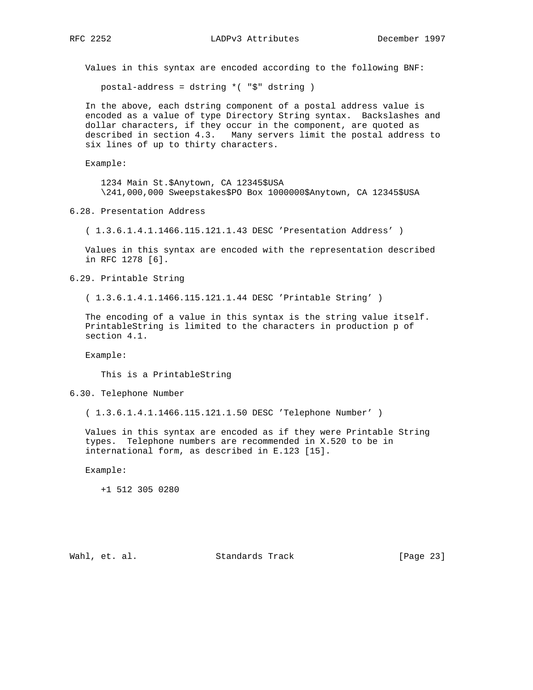Values in this syntax are encoded according to the following BNF:

postal-address = dstring \*( "\$" dstring )

 In the above, each dstring component of a postal address value is encoded as a value of type Directory String syntax. Backslashes and dollar characters, if they occur in the component, are quoted as described in section 4.3. Many servers limit the postal address to six lines of up to thirty characters.

Example:

 1234 Main St.\$Anytown, CA 12345\$USA \241,000,000 Sweepstakes\$PO Box 1000000\$Anytown, CA 12345\$USA

6.28. Presentation Address

( 1.3.6.1.4.1.1466.115.121.1.43 DESC 'Presentation Address' )

 Values in this syntax are encoded with the representation described in RFC 1278 [6].

6.29. Printable String

( 1.3.6.1.4.1.1466.115.121.1.44 DESC 'Printable String' )

 The encoding of a value in this syntax is the string value itself. PrintableString is limited to the characters in production p of section 4.1.

Example:

This is a PrintableString

6.30. Telephone Number

( 1.3.6.1.4.1.1466.115.121.1.50 DESC 'Telephone Number' )

 Values in this syntax are encoded as if they were Printable String types. Telephone numbers are recommended in X.520 to be in international form, as described in E.123 [15].

Example:

+1 512 305 0280

Wahl, et. al. Standards Track [Page 23]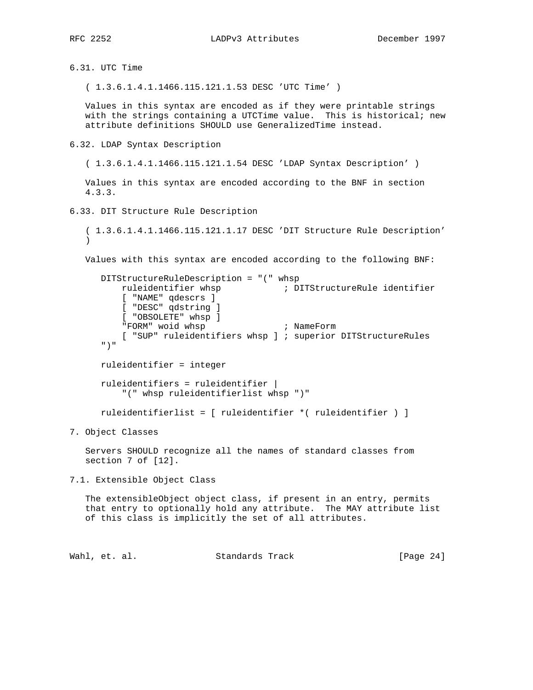6.31. UTC Time

( 1.3.6.1.4.1.1466.115.121.1.53 DESC 'UTC Time' )

 Values in this syntax are encoded as if they were printable strings with the strings containing a UTCTime value. This is historical; new attribute definitions SHOULD use GeneralizedTime instead.

6.32. LDAP Syntax Description

( 1.3.6.1.4.1.1466.115.121.1.54 DESC 'LDAP Syntax Description' )

 Values in this syntax are encoded according to the BNF in section 4.3.3.

6.33. DIT Structure Rule Description

 ( 1.3.6.1.4.1.1466.115.121.1.17 DESC 'DIT Structure Rule Description'  $\left( \right)$ 

Values with this syntax are encoded according to the following BNF:

```
 DITStructureRuleDescription = "(" whsp
    ruleidentifier whsp ; DITStructureRule identifier
    [ "NAME" qdescrs ]
    [ "DESC" qdstring ]
     [ "OBSOLETE" whsp ]
     "FORM" woid whsp ; NameForm
     [ "SUP" ruleidentifiers whsp ] ; superior DITStructureRules
 ")"
 ruleidentifier = integer
```
 ruleidentifiers = ruleidentifier | "(" whsp ruleidentifierlist whsp ")"

ruleidentifierlist = [ ruleidentifier \*( ruleidentifier ) ]

7. Object Classes

 Servers SHOULD recognize all the names of standard classes from section 7 of [12].

7.1. Extensible Object Class

 The extensibleObject object class, if present in an entry, permits that entry to optionally hold any attribute. The MAY attribute list of this class is implicitly the set of all attributes.

Wahl, et. al. Standards Track [Page 24]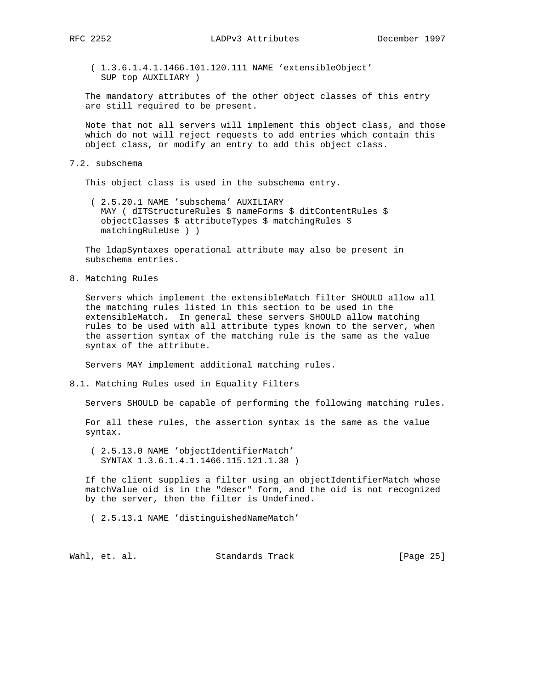( 1.3.6.1.4.1.1466.101.120.111 NAME 'extensibleObject' SUP top AUXILIARY )

 The mandatory attributes of the other object classes of this entry are still required to be present.

 Note that not all servers will implement this object class, and those which do not will reject requests to add entries which contain this object class, or modify an entry to add this object class.

7.2. subschema

This object class is used in the subschema entry.

 ( 2.5.20.1 NAME 'subschema' AUXILIARY MAY ( dITStructureRules \$ nameForms \$ ditContentRules \$ objectClasses \$ attributeTypes \$ matchingRules \$ matchingRuleUse ) )

 The ldapSyntaxes operational attribute may also be present in subschema entries.

8. Matching Rules

 Servers which implement the extensibleMatch filter SHOULD allow all the matching rules listed in this section to be used in the extensibleMatch. In general these servers SHOULD allow matching rules to be used with all attribute types known to the server, when the assertion syntax of the matching rule is the same as the value syntax of the attribute.

Servers MAY implement additional matching rules.

8.1. Matching Rules used in Equality Filters

Servers SHOULD be capable of performing the following matching rules.

 For all these rules, the assertion syntax is the same as the value syntax.

 ( 2.5.13.0 NAME 'objectIdentifierMatch' SYNTAX 1.3.6.1.4.1.1466.115.121.1.38 )

 If the client supplies a filter using an objectIdentifierMatch whose matchValue oid is in the "descr" form, and the oid is not recognized by the server, then the filter is Undefined.

( 2.5.13.1 NAME 'distinguishedNameMatch'

Wahl, et. al. Standards Track [Page 25]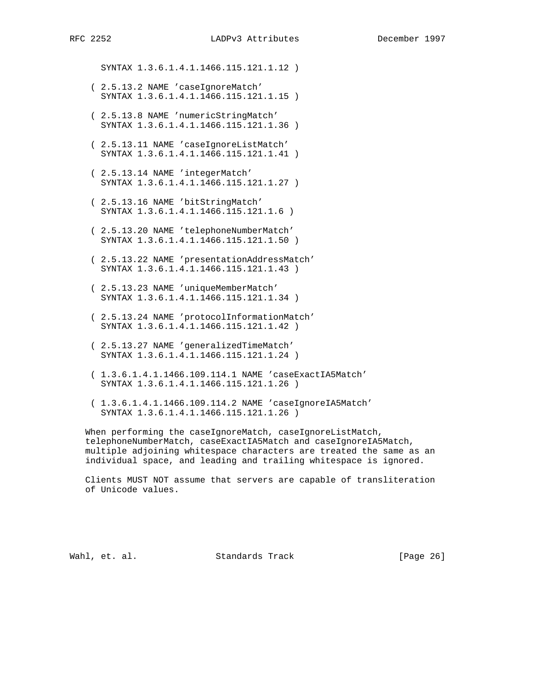SYNTAX 1.3.6.1.4.1.1466.115.121.1.12 )

- ( 2.5.13.2 NAME 'caseIgnoreMatch' SYNTAX 1.3.6.1.4.1.1466.115.121.1.15 )
- ( 2.5.13.8 NAME 'numericStringMatch' SYNTAX 1.3.6.1.4.1.1466.115.121.1.36 )
- ( 2.5.13.11 NAME 'caseIgnoreListMatch' SYNTAX 1.3.6.1.4.1.1466.115.121.1.41 )
- ( 2.5.13.14 NAME 'integerMatch' SYNTAX 1.3.6.1.4.1.1466.115.121.1.27 )
- ( 2.5.13.16 NAME 'bitStringMatch' SYNTAX 1.3.6.1.4.1.1466.115.121.1.6 )
- ( 2.5.13.20 NAME 'telephoneNumberMatch' SYNTAX 1.3.6.1.4.1.1466.115.121.1.50 )
- ( 2.5.13.22 NAME 'presentationAddressMatch' SYNTAX 1.3.6.1.4.1.1466.115.121.1.43 )
- ( 2.5.13.23 NAME 'uniqueMemberMatch' SYNTAX 1.3.6.1.4.1.1466.115.121.1.34 )
- ( 2.5.13.24 NAME 'protocolInformationMatch' SYNTAX 1.3.6.1.4.1.1466.115.121.1.42 )
- ( 2.5.13.27 NAME 'generalizedTimeMatch' SYNTAX 1.3.6.1.4.1.1466.115.121.1.24 )
- ( 1.3.6.1.4.1.1466.109.114.1 NAME 'caseExactIA5Match' SYNTAX 1.3.6.1.4.1.1466.115.121.1.26 )
- ( 1.3.6.1.4.1.1466.109.114.2 NAME 'caseIgnoreIA5Match' SYNTAX 1.3.6.1.4.1.1466.115.121.1.26 )

 When performing the caseIgnoreMatch, caseIgnoreListMatch, telephoneNumberMatch, caseExactIA5Match and caseIgnoreIA5Match, multiple adjoining whitespace characters are treated the same as an individual space, and leading and trailing whitespace is ignored.

 Clients MUST NOT assume that servers are capable of transliteration of Unicode values.

Wahl, et. al. Standards Track [Page 26]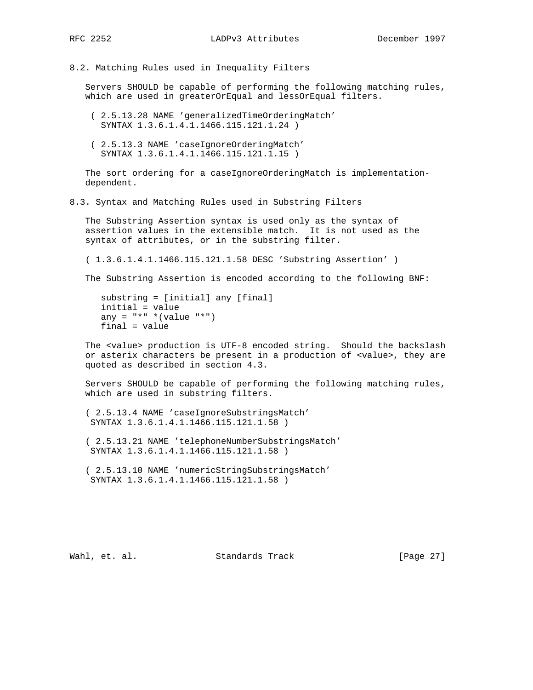8.2. Matching Rules used in Inequality Filters

 Servers SHOULD be capable of performing the following matching rules, which are used in greaterOrEqual and lessOrEqual filters.

- ( 2.5.13.28 NAME 'generalizedTimeOrderingMatch' SYNTAX 1.3.6.1.4.1.1466.115.121.1.24 )
- ( 2.5.13.3 NAME 'caseIgnoreOrderingMatch' SYNTAX 1.3.6.1.4.1.1466.115.121.1.15 )

 The sort ordering for a caseIgnoreOrderingMatch is implementation dependent.

8.3. Syntax and Matching Rules used in Substring Filters

 The Substring Assertion syntax is used only as the syntax of assertion values in the extensible match. It is not used as the syntax of attributes, or in the substring filter.

( 1.3.6.1.4.1.1466.115.121.1.58 DESC 'Substring Assertion' )

The Substring Assertion is encoded according to the following BNF:

```
 substring = [initial] any [final]
 initial = value
any = *** *(value "*")
 final = value
```
 The <value> production is UTF-8 encoded string. Should the backslash or asterix characters be present in a production of <value>, they are quoted as described in section 4.3.

 Servers SHOULD be capable of performing the following matching rules, which are used in substring filters.

 ( 2.5.13.4 NAME 'caseIgnoreSubstringsMatch' SYNTAX 1.3.6.1.4.1.1466.115.121.1.58 )

 ( 2.5.13.21 NAME 'telephoneNumberSubstringsMatch' SYNTAX 1.3.6.1.4.1.1466.115.121.1.58 )

 ( 2.5.13.10 NAME 'numericStringSubstringsMatch' SYNTAX 1.3.6.1.4.1.1466.115.121.1.58 )

Wahl, et. al. Standards Track [Page 27]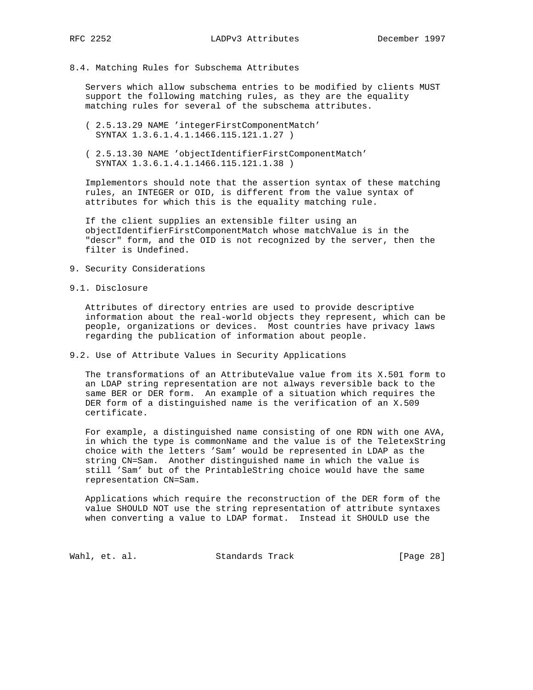## 8.4. Matching Rules for Subschema Attributes

 Servers which allow subschema entries to be modified by clients MUST support the following matching rules, as they are the equality matching rules for several of the subschema attributes.

- ( 2.5.13.29 NAME 'integerFirstComponentMatch' SYNTAX 1.3.6.1.4.1.1466.115.121.1.27 )
- ( 2.5.13.30 NAME 'objectIdentifierFirstComponentMatch' SYNTAX 1.3.6.1.4.1.1466.115.121.1.38 )

 Implementors should note that the assertion syntax of these matching rules, an INTEGER or OID, is different from the value syntax of attributes for which this is the equality matching rule.

 If the client supplies an extensible filter using an objectIdentifierFirstComponentMatch whose matchValue is in the "descr" form, and the OID is not recognized by the server, then the filter is Undefined.

- 9. Security Considerations
- 9.1. Disclosure

 Attributes of directory entries are used to provide descriptive information about the real-world objects they represent, which can be people, organizations or devices. Most countries have privacy laws regarding the publication of information about people.

## 9.2. Use of Attribute Values in Security Applications

 The transformations of an AttributeValue value from its X.501 form to an LDAP string representation are not always reversible back to the same BER or DER form. An example of a situation which requires the DER form of a distinguished name is the verification of an X.509 certificate.

 For example, a distinguished name consisting of one RDN with one AVA, in which the type is commonName and the value is of the TeletexString choice with the letters 'Sam' would be represented in LDAP as the string CN=Sam. Another distinguished name in which the value is still 'Sam' but of the PrintableString choice would have the same representation CN=Sam.

 Applications which require the reconstruction of the DER form of the value SHOULD NOT use the string representation of attribute syntaxes when converting a value to LDAP format. Instead it SHOULD use the

Wahl, et. al. Standards Track [Page 28]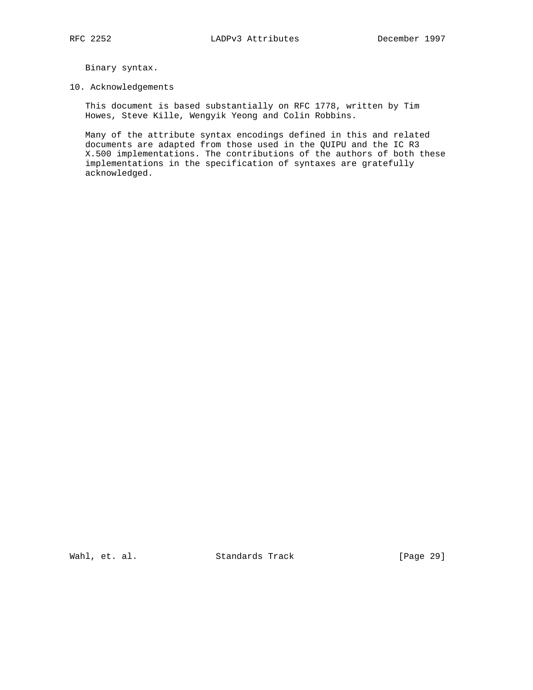Binary syntax.

#### 10. Acknowledgements

 This document is based substantially on RFC 1778, written by Tim Howes, Steve Kille, Wengyik Yeong and Colin Robbins.

 Many of the attribute syntax encodings defined in this and related documents are adapted from those used in the QUIPU and the IC R3 X.500 implementations. The contributions of the authors of both these implementations in the specification of syntaxes are gratefully acknowledged.

Wahl, et. al. Standards Track [Page 29]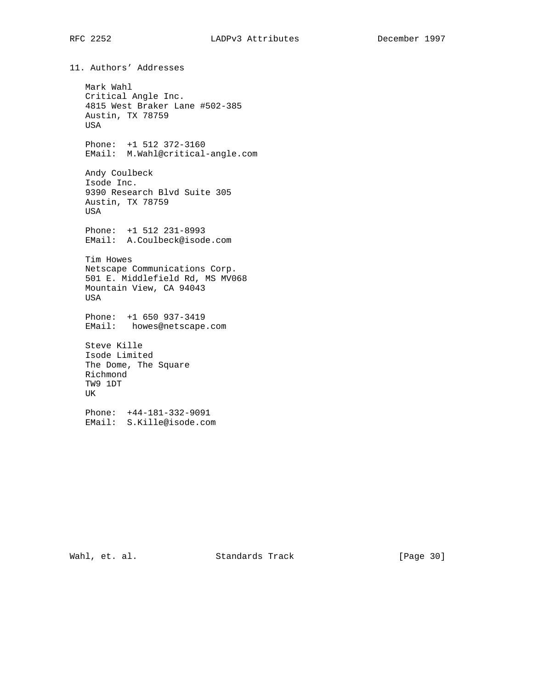11. Authors' Addresses Mark Wahl Critical Angle Inc. 4815 West Braker Lane #502-385 Austin, TX 78759 USA Phone: +1 512 372-3160 EMail: M.Wahl@critical-angle.com Andy Coulbeck Isode Inc. 9390 Research Blvd Suite 305 Austin, TX 78759 USA Phone: +1 512 231-8993 EMail: A.Coulbeck@isode.com Tim Howes Netscape Communications Corp. 501 E. Middlefield Rd, MS MV068 Mountain View, CA 94043 USA Phone: +1 650 937-3419 EMail: howes@netscape.com Steve Kille Isode Limited The Dome, The Square Richmond TW9 1DT UK Phone: +44-181-332-9091 EMail: S.Kille@isode.com

Wahl, et. al. Standards Track [Page 30]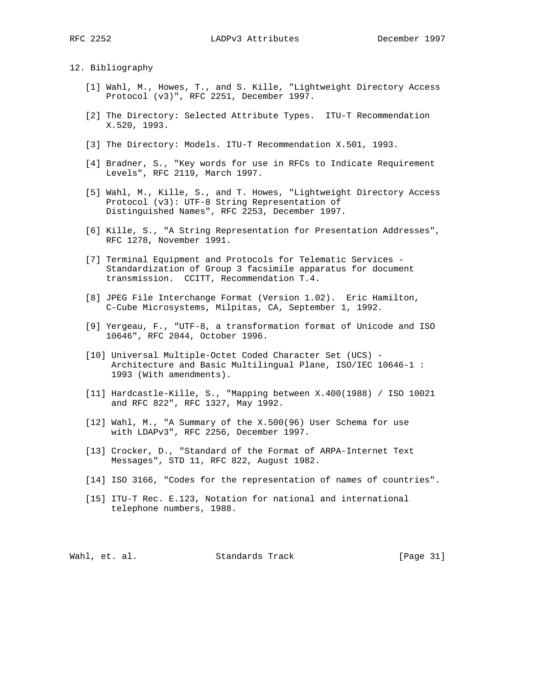12. Bibliography

- [1] Wahl, M., Howes, T., and S. Kille, "Lightweight Directory Access Protocol (v3)", RFC 2251, December 1997.
- [2] The Directory: Selected Attribute Types. ITU-T Recommendation X.520, 1993.
- [3] The Directory: Models. ITU-T Recommendation X.501, 1993.
- [4] Bradner, S., "Key words for use in RFCs to Indicate Requirement Levels", RFC 2119, March 1997.
- [5] Wahl, M., Kille, S., and T. Howes, "Lightweight Directory Access Protocol (v3): UTF-8 String Representation of Distinguished Names", RFC 2253, December 1997.
- [6] Kille, S., "A String Representation for Presentation Addresses", RFC 1278, November 1991.
- [7] Terminal Equipment and Protocols for Telematic Services Standardization of Group 3 facsimile apparatus for document transmission. CCITT, Recommendation T.4.
- [8] JPEG File Interchange Format (Version 1.02). Eric Hamilton, C-Cube Microsystems, Milpitas, CA, September 1, 1992.
- [9] Yergeau, F., "UTF-8, a transformation format of Unicode and ISO 10646", RFC 2044, October 1996.
- [10] Universal Multiple-Octet Coded Character Set (UCS) Architecture and Basic Multilingual Plane, ISO/IEC 10646-1 : 1993 (With amendments).
- [11] Hardcastle-Kille, S., "Mapping between X.400(1988) / ISO 10021 and RFC 822", RFC 1327, May 1992.
- [12] Wahl, M., "A Summary of the X.500(96) User Schema for use with LDAPv3", RFC 2256, December 1997.
- [13] Crocker, D., "Standard of the Format of ARPA-Internet Text Messages", STD 11, RFC 822, August 1982.
- [14] ISO 3166, "Codes for the representation of names of countries".
- [15] ITU-T Rec. E.123, Notation for national and international telephone numbers, 1988.

Wahl, et. al. Standards Track [Page 31]